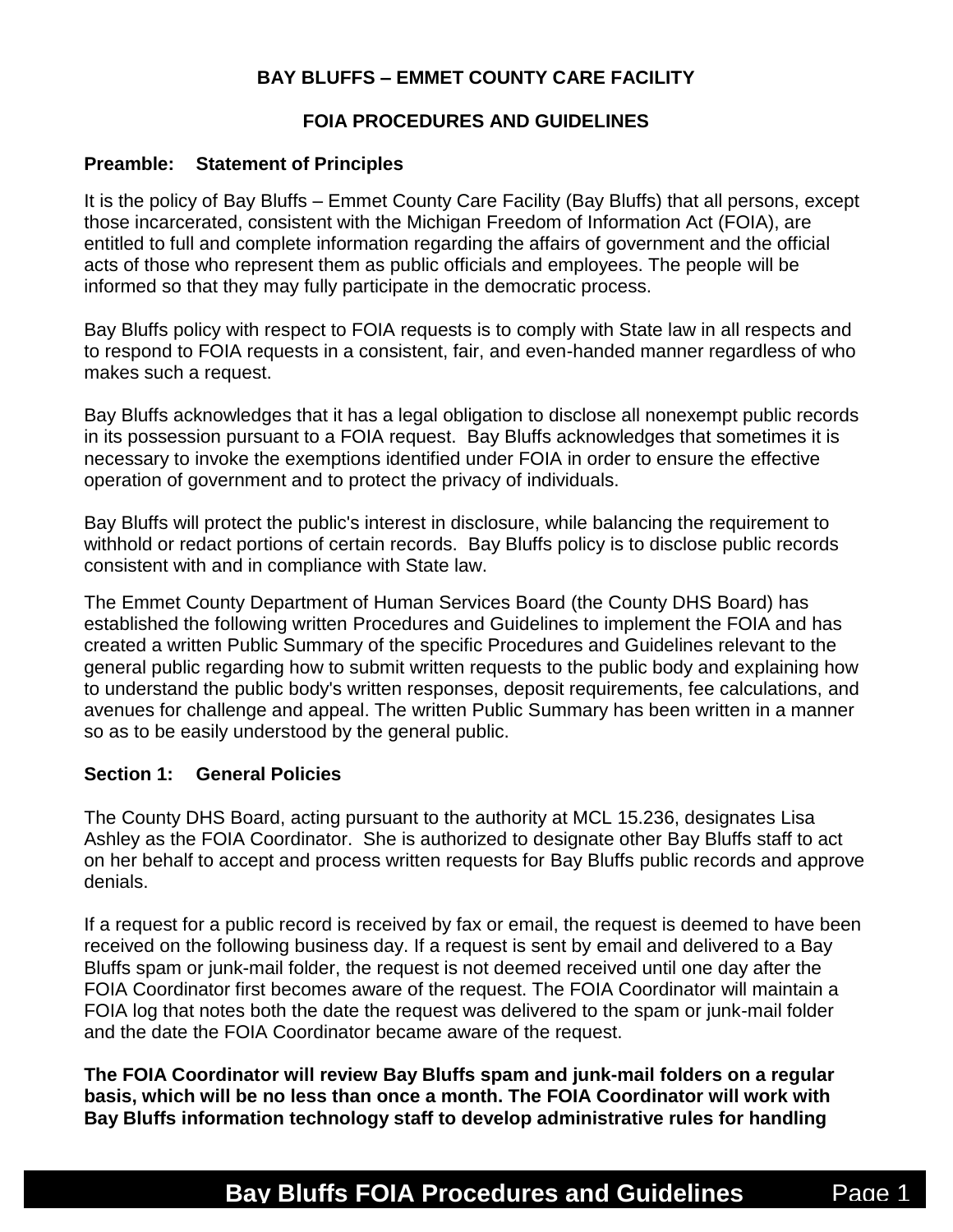## **BAY BLUFFS – EMMET COUNTY CARE FACILITY**

### **FOIA PROCEDURES AND GUIDELINES**

#### **Preamble: Statement of Principles**

It is the policy of Bay Bluffs – Emmet County Care Facility (Bay Bluffs) that all persons, except those incarcerated, consistent with the Michigan Freedom of Information Act (FOIA), are entitled to full and complete information regarding the affairs of government and the official acts of those who represent them as public officials and employees. The people will be informed so that they may fully participate in the democratic process.

Bay Bluffs policy with respect to FOIA requests is to comply with State law in all respects and to respond to FOIA requests in a consistent, fair, and even-handed manner regardless of who makes such a request.

Bay Bluffs acknowledges that it has a legal obligation to disclose all nonexempt public records in its possession pursuant to a FOIA request. Bay Bluffs acknowledges that sometimes it is necessary to invoke the exemptions identified under FOIA in order to ensure the effective operation of government and to protect the privacy of individuals.

Bay Bluffs will protect the public's interest in disclosure, while balancing the requirement to withhold or redact portions of certain records. Bay Bluffs policy is to disclose public records consistent with and in compliance with State law.

The Emmet County Department of Human Services Board (the County DHS Board) has established the following written Procedures and Guidelines to implement the FOIA and has created a written Public Summary of the specific Procedures and Guidelines relevant to the general public regarding how to submit written requests to the public body and explaining how to understand the public body's written responses, deposit requirements, fee calculations, and avenues for challenge and appeal. The written Public Summary has been written in a manner so as to be easily understood by the general public.

### **Section 1: General Policies**

The County DHS Board, acting pursuant to the authority at MCL 15.236, designates Lisa Ashley as the FOIA Coordinator. She is authorized to designate other Bay Bluffs staff to act on her behalf to accept and process written requests for Bay Bluffs public records and approve denials.

If a request for a public record is received by fax or email, the request is deemed to have been received on the following business day. If a request is sent by email and delivered to a Bay Bluffs spam or junk-mail folder, the request is not deemed received until one day after the FOIA Coordinator first becomes aware of the request. The FOIA Coordinator will maintain a FOIA log that notes both the date the request was delivered to the spam or junk-mail folder and the date the FOIA Coordinator became aware of the request.

**The FOIA Coordinator will review Bay Bluffs spam and junk-mail folders on a regular basis, which will be no less than once a month. The FOIA Coordinator will work with Bay Bluffs information technology staff to develop administrative rules for handling**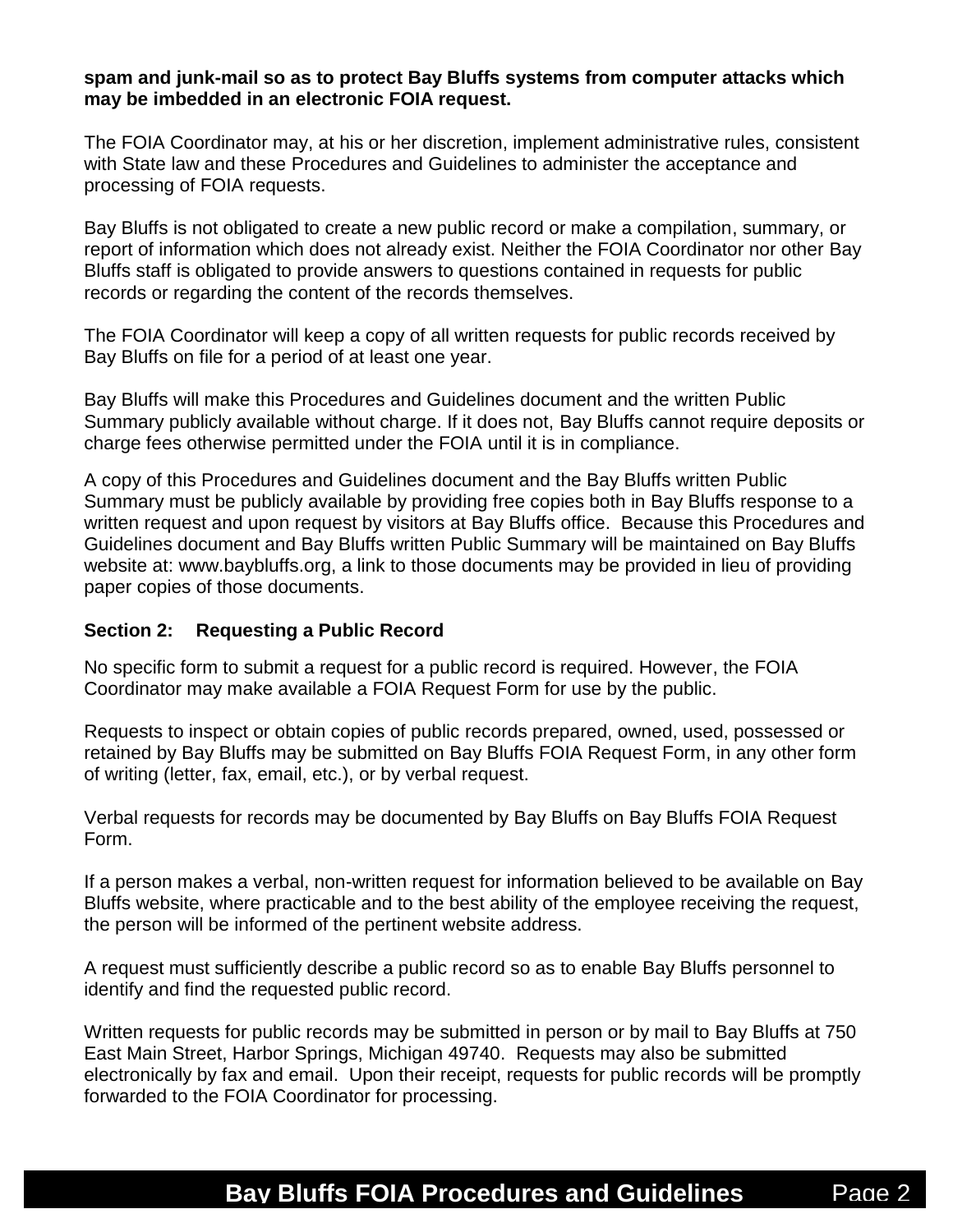#### **spam and junk-mail so as to protect Bay Bluffs systems from computer attacks which may be imbedded in an electronic FOIA request.**

The FOIA Coordinator may, at his or her discretion, implement administrative rules, consistent with State law and these Procedures and Guidelines to administer the acceptance and processing of FOIA requests.

Bay Bluffs is not obligated to create a new public record or make a compilation, summary, or report of information which does not already exist. Neither the FOIA Coordinator nor other Bay Bluffs staff is obligated to provide answers to questions contained in requests for public records or regarding the content of the records themselves.

The FOIA Coordinator will keep a copy of all written requests for public records received by Bay Bluffs on file for a period of at least one year.

Bay Bluffs will make this Procedures and Guidelines document and the written Public Summary publicly available without charge. If it does not, Bay Bluffs cannot require deposits or charge fees otherwise permitted under the FOIA until it is in compliance.

A copy of this Procedures and Guidelines document and the Bay Bluffs written Public Summary must be publicly available by providing free copies both in Bay Bluffs response to a written request and upon request by visitors at Bay Bluffs office. Because this Procedures and Guidelines document and Bay Bluffs written Public Summary will be maintained on Bay Bluffs website at: www.baybluffs.org, a link to those documents may be provided in lieu of providing paper copies of those documents.

### **Section 2: Requesting a Public Record**

No specific form to submit a request for a public record is required. However, the FOIA Coordinator may make available a FOIA Request Form for use by the public.

Requests to inspect or obtain copies of public records prepared, owned, used, possessed or retained by Bay Bluffs may be submitted on Bay Bluffs FOIA Request Form, in any other form of writing (letter, fax, email, etc.), or by verbal request.

Verbal requests for records may be documented by Bay Bluffs on Bay Bluffs FOIA Request Form.

If a person makes a verbal, non-written request for information believed to be available on Bay Bluffs website, where practicable and to the best ability of the employee receiving the request, the person will be informed of the pertinent website address.

A request must sufficiently describe a public record so as to enable Bay Bluffs personnel to identify and find the requested public record.

Written requests for public records may be submitted in person or by mail to Bay Bluffs at 750 East Main Street, Harbor Springs, Michigan 49740. Requests may also be submitted electronically by fax and email. Upon their receipt, requests for public records will be promptly forwarded to the FOIA Coordinator for processing.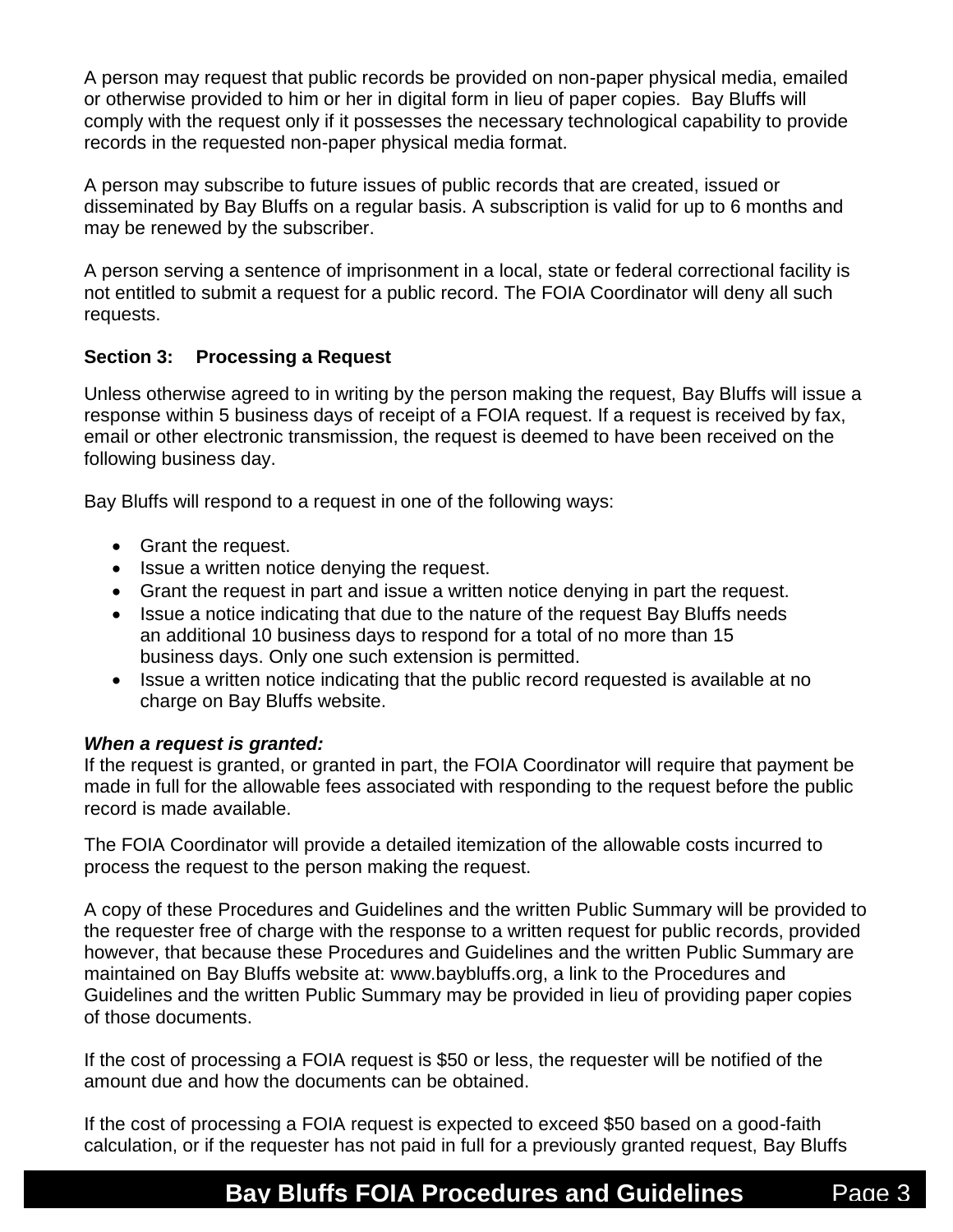A person may request that public records be provided on non-paper physical media, emailed or otherwise provided to him or her in digital form in lieu of paper copies. Bay Bluffs will comply with the request only if it possesses the necessary technological capability to provide records in the requested non-paper physical media format.

A person may subscribe to future issues of public records that are created, issued or disseminated by Bay Bluffs on a regular basis. A subscription is valid for up to 6 months and may be renewed by the subscriber.

A person serving a sentence of imprisonment in a local, state or federal correctional facility is not entitled to submit a request for a public record. The FOIA Coordinator will deny all such requests.

### **Section 3: Processing a Request**

Unless otherwise agreed to in writing by the person making the request, Bay Bluffs will issue a response within 5 business days of receipt of a FOIA request. If a request is received by fax, email or other electronic transmission, the request is deemed to have been received on the following business day.

Bay Bluffs will respond to a request in one of the following ways:

- Grant the request.
- Issue a written notice denying the request.
- Grant the request in part and issue a written notice denying in part the request.
- Issue a notice indicating that due to the nature of the request Bay Bluffs needs an additional 10 business days to respond for a total of no more than 15 business days. Only one such extension is permitted.
- Issue a written notice indicating that the public record requested is available at no charge on Bay Bluffs website.

### *When a request is granted:*

If the request is granted, or granted in part, the FOIA Coordinator will require that payment be made in full for the allowable fees associated with responding to the request before the public record is made available.

The FOIA Coordinator will provide a detailed itemization of the allowable costs incurred to process the request to the person making the request.

A copy of these Procedures and Guidelines and the written Public Summary will be provided to the requester free of charge with the response to a written request for public records, provided however, that because these Procedures and Guidelines and the written Public Summary are maintained on Bay Bluffs website at: www.baybluffs.org, a link to the Procedures and Guidelines and the written Public Summary may be provided in lieu of providing paper copies of those documents.

If the cost of processing a FOIA request is \$50 or less, the requester will be notified of the amount due and how the documents can be obtained.

If the cost of processing a FOIA request is expected to exceed \$50 based on a good-faith calculation, or if the requester has not paid in full for a previously granted request, Bay Bluffs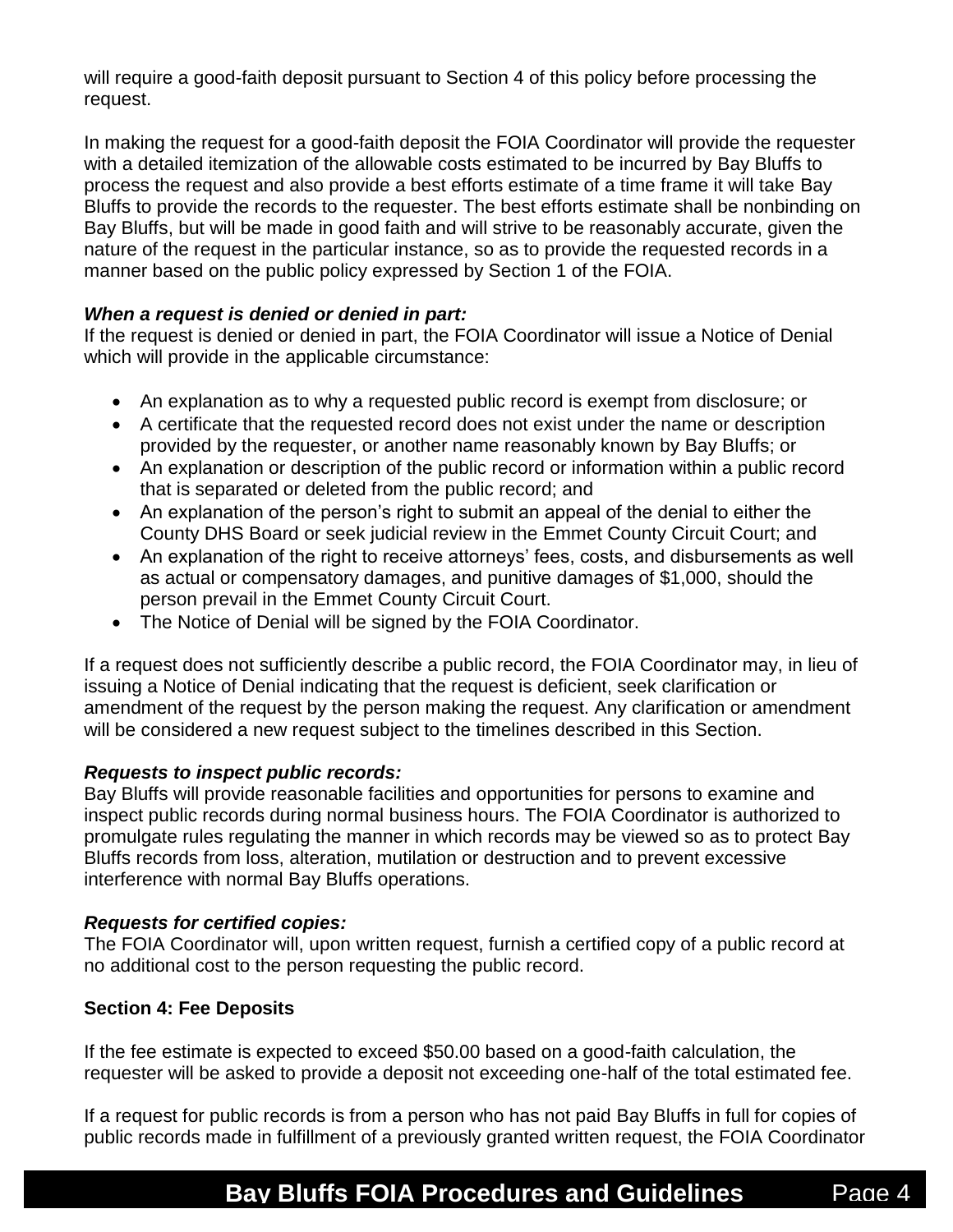will require a good-faith deposit pursuant to Section 4 of this policy before processing the request.

In making the request for a good-faith deposit the FOIA Coordinator will provide the requester with a detailed itemization of the allowable costs estimated to be incurred by Bay Bluffs to process the request and also provide a best efforts estimate of a time frame it will take Bay Bluffs to provide the records to the requester. The best efforts estimate shall be nonbinding on Bay Bluffs, but will be made in good faith and will strive to be reasonably accurate, given the nature of the request in the particular instance, so as to provide the requested records in a manner based on the public policy expressed by Section 1 of the FOIA.

### *When a request is denied or denied in part:*

If the request is denied or denied in part, the FOIA Coordinator will issue a Notice of Denial which will provide in the applicable circumstance:

- An explanation as to why a requested public record is exempt from disclosure; or
- A certificate that the requested record does not exist under the name or description provided by the requester, or another name reasonably known by Bay Bluffs; or
- An explanation or description of the public record or information within a public record that is separated or deleted from the public record; and
- An explanation of the person's right to submit an appeal of the denial to either the County DHS Board or seek judicial review in the Emmet County Circuit Court; and
- An explanation of the right to receive attorneys' fees, costs, and disbursements as well as actual or compensatory damages, and punitive damages of \$1,000, should the person prevail in the Emmet County Circuit Court.
- The Notice of Denial will be signed by the FOIA Coordinator.

If a request does not sufficiently describe a public record, the FOIA Coordinator may, in lieu of issuing a Notice of Denial indicating that the request is deficient, seek clarification or amendment of the request by the person making the request. Any clarification or amendment will be considered a new request subject to the timelines described in this Section.

### *Requests to inspect public records:*

Bay Bluffs will provide reasonable facilities and opportunities for persons to examine and inspect public records during normal business hours. The FOIA Coordinator is authorized to promulgate rules regulating the manner in which records may be viewed so as to protect Bay Bluffs records from loss, alteration, mutilation or destruction and to prevent excessive interference with normal Bay Bluffs operations.

### *Requests for certified copies:*

The FOIA Coordinator will, upon written request, furnish a certified copy of a public record at no additional cost to the person requesting the public record.

### **Section 4: Fee Deposits**

If the fee estimate is expected to exceed \$50.00 based on a good-faith calculation, the requester will be asked to provide a deposit not exceeding one-half of the total estimated fee.

If a request for public records is from a person who has not paid Bay Bluffs in full for copies of public records made in fulfillment of a previously granted written request, the FOIA Coordinator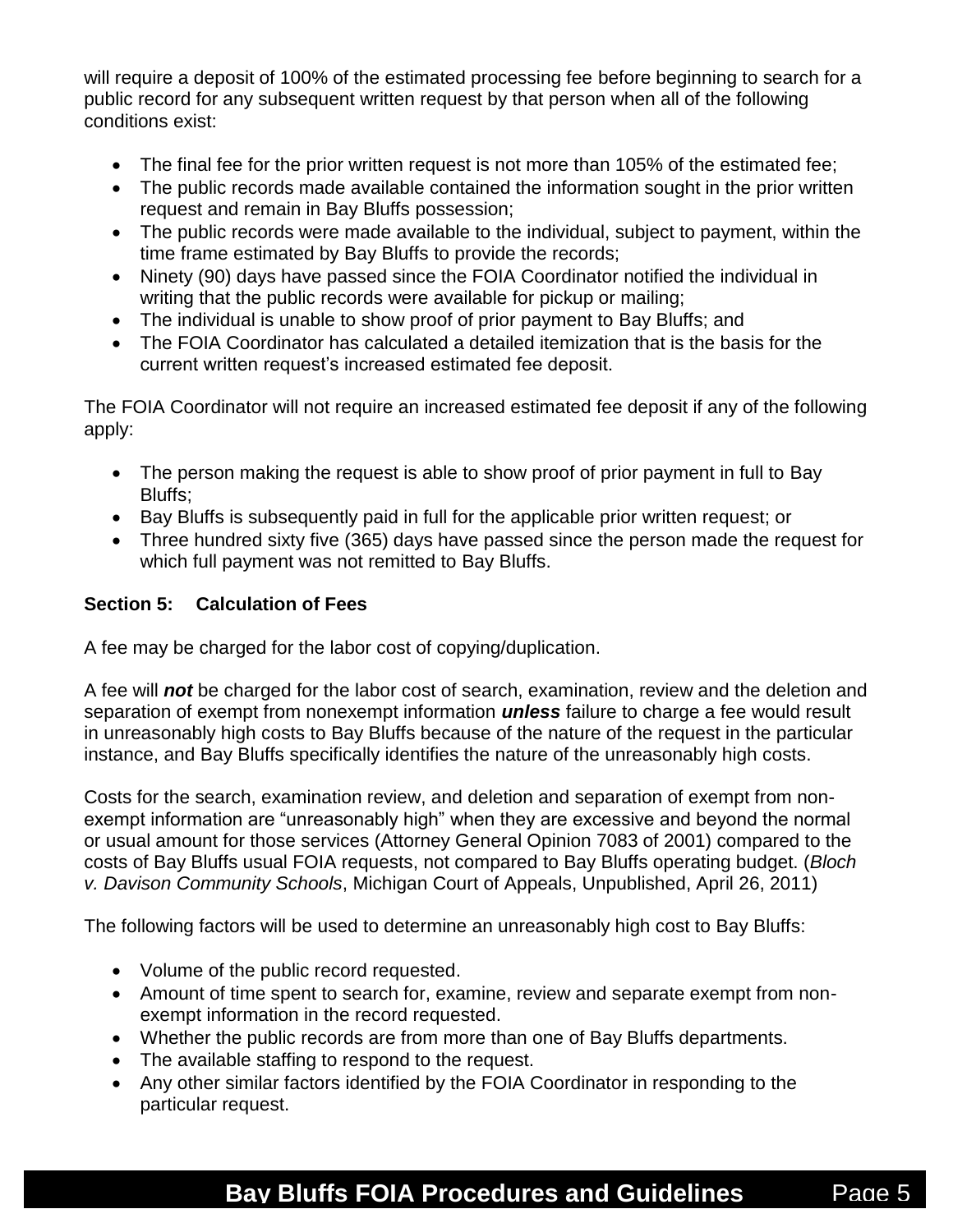will require a deposit of 100% of the estimated processing fee before beginning to search for a public record for any subsequent written request by that person when all of the following conditions exist:

- The final fee for the prior written request is not more than 105% of the estimated fee;
- The public records made available contained the information sought in the prior written request and remain in Bay Bluffs possession;
- The public records were made available to the individual, subject to payment, within the time frame estimated by Bay Bluffs to provide the records;
- Ninety (90) days have passed since the FOIA Coordinator notified the individual in writing that the public records were available for pickup or mailing;
- The individual is unable to show proof of prior payment to Bay Bluffs; and
- The FOIA Coordinator has calculated a detailed itemization that is the basis for the current written request's increased estimated fee deposit.

The FOIA Coordinator will not require an increased estimated fee deposit if any of the following apply:

- The person making the request is able to show proof of prior payment in full to Bay Bluffs;
- Bay Bluffs is subsequently paid in full for the applicable prior written request; or
- Three hundred sixty five (365) days have passed since the person made the request for which full payment was not remitted to Bay Bluffs.

## **Section 5: Calculation of Fees**

A fee may be charged for the labor cost of copying/duplication.

A fee will *not* be charged for the labor cost of search, examination, review and the deletion and separation of exempt from nonexempt information *unless* failure to charge a fee would result in unreasonably high costs to Bay Bluffs because of the nature of the request in the particular instance, and Bay Bluffs specifically identifies the nature of the unreasonably high costs.

Costs for the search, examination review, and deletion and separation of exempt from nonexempt information are "unreasonably high" when they are excessive and beyond the normal or usual amount for those services (Attorney General Opinion 7083 of 2001) compared to the costs of Bay Bluffs usual FOIA requests, not compared to Bay Bluffs operating budget. (*Bloch v. Davison Community Schools*, Michigan Court of Appeals, Unpublished, April 26, 2011)

The following factors will be used to determine an unreasonably high cost to Bay Bluffs:

- Volume of the public record requested.
- Amount of time spent to search for, examine, review and separate exempt from nonexempt information in the record requested.
- Whether the public records are from more than one of Bay Bluffs departments.
- The available staffing to respond to the request.
- Any other similar factors identified by the FOIA Coordinator in responding to the particular request.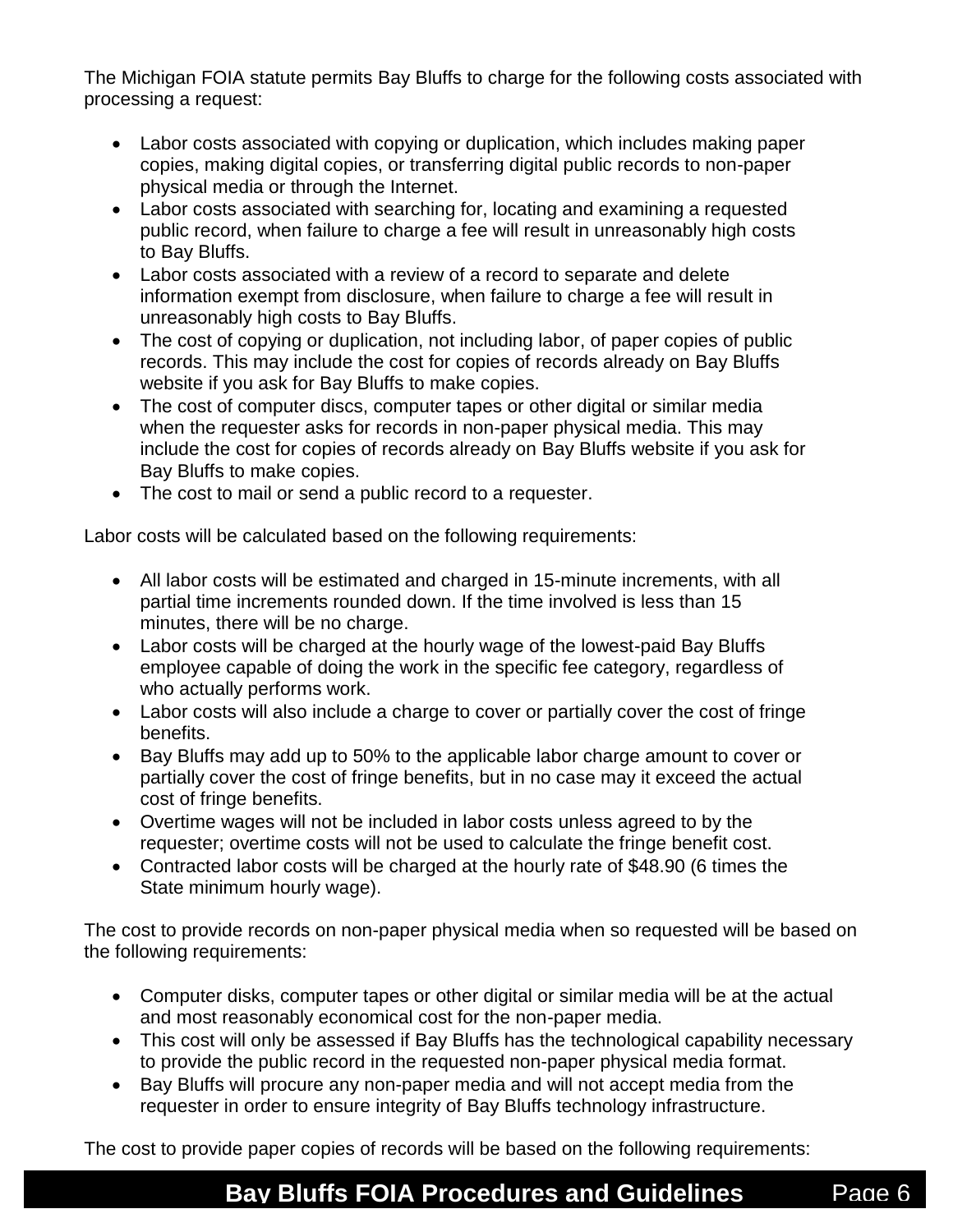The Michigan FOIA statute permits Bay Bluffs to charge for the following costs associated with processing a request:

- Labor costs associated with copying or duplication, which includes making paper copies, making digital copies, or transferring digital public records to non-paper physical media or through the Internet.
- Labor costs associated with searching for, locating and examining a requested public record, when failure to charge a fee will result in unreasonably high costs to Bay Bluffs.
- Labor costs associated with a review of a record to separate and delete information exempt from disclosure, when failure to charge a fee will result in unreasonably high costs to Bay Bluffs.
- The cost of copying or duplication, not including labor, of paper copies of public records. This may include the cost for copies of records already on Bay Bluffs website if you ask for Bay Bluffs to make copies.
- The cost of computer discs, computer tapes or other digital or similar media when the requester asks for records in non-paper physical media. This may include the cost for copies of records already on Bay Bluffs website if you ask for Bay Bluffs to make copies.
- The cost to mail or send a public record to a requester.

Labor costs will be calculated based on the following requirements:

- All labor costs will be estimated and charged in 15-minute increments, with all partial time increments rounded down. If the time involved is less than 15 minutes, there will be no charge.
- Labor costs will be charged at the hourly wage of the lowest-paid Bay Bluffs employee capable of doing the work in the specific fee category, regardless of who actually performs work.
- Labor costs will also include a charge to cover or partially cover the cost of fringe benefits.
- Bay Bluffs may add up to 50% to the applicable labor charge amount to cover or partially cover the cost of fringe benefits, but in no case may it exceed the actual cost of fringe benefits.
- Overtime wages will not be included in labor costs unless agreed to by the requester; overtime costs will not be used to calculate the fringe benefit cost.
- Contracted labor costs will be charged at the hourly rate of \$48.90 (6 times the State minimum hourly wage).

The cost to provide records on non-paper physical media when so requested will be based on the following requirements:

- Computer disks, computer tapes or other digital or similar media will be at the actual and most reasonably economical cost for the non-paper media.
- This cost will only be assessed if Bay Bluffs has the technological capability necessary to provide the public record in the requested non-paper physical media format.
- Bay Bluffs will procure any non-paper media and will not accept media from the requester in order to ensure integrity of Bay Bluffs technology infrastructure.

The cost to provide paper copies of records will be based on the following requirements: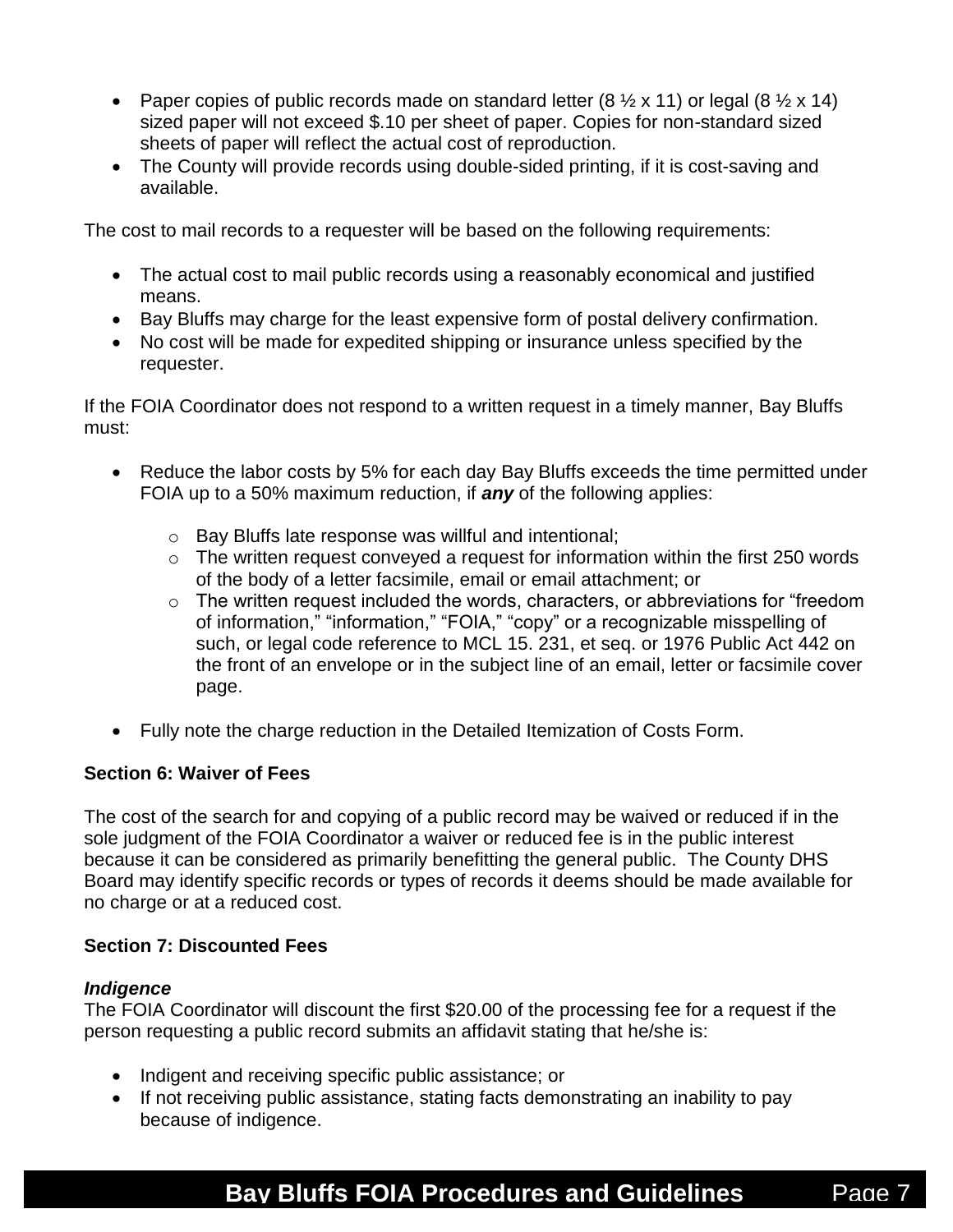- Paper copies of public records made on standard letter  $(8 \frac{1}{2} \times 11)$  or legal  $(8 \frac{1}{2} \times 14)$ sized paper will not exceed \$.10 per sheet of paper. Copies for non-standard sized sheets of paper will reflect the actual cost of reproduction.
- The County will provide records using double-sided printing, if it is cost-saving and available.

The cost to mail records to a requester will be based on the following requirements:

- The actual cost to mail public records using a reasonably economical and justified means.
- Bay Bluffs may charge for the least expensive form of postal delivery confirmation.
- No cost will be made for expedited shipping or insurance unless specified by the requester.

If the FOIA Coordinator does not respond to a written request in a timely manner, Bay Bluffs must:

- Reduce the labor costs by 5% for each day Bay Bluffs exceeds the time permitted under FOIA up to a 50% maximum reduction, if *any* of the following applies:
	- o Bay Bluffs late response was willful and intentional;
	- $\circ$  The written request conveyed a request for information within the first 250 words of the body of a letter facsimile, email or email attachment; or
	- o The written request included the words, characters, or abbreviations for "freedom of information," "information," "FOIA," "copy" or a recognizable misspelling of such, or legal code reference to MCL 15. 231, et seq. or 1976 Public Act 442 on the front of an envelope or in the subject line of an email, letter or facsimile cover page.
- Fully note the charge reduction in the Detailed Itemization of Costs Form.

## **Section 6: Waiver of Fees**

The cost of the search for and copying of a public record may be waived or reduced if in the sole judgment of the FOIA Coordinator a waiver or reduced fee is in the public interest because it can be considered as primarily benefitting the general public. The County DHS Board may identify specific records or types of records it deems should be made available for no charge or at a reduced cost.

## **Section 7: Discounted Fees**

### *Indigence*

The FOIA Coordinator will discount the first \$20.00 of the processing fee for a request if the person requesting a public record submits an affidavit stating that he/she is:

- Indigent and receiving specific public assistance; or
- If not receiving public assistance, stating facts demonstrating an inability to pay because of indigence.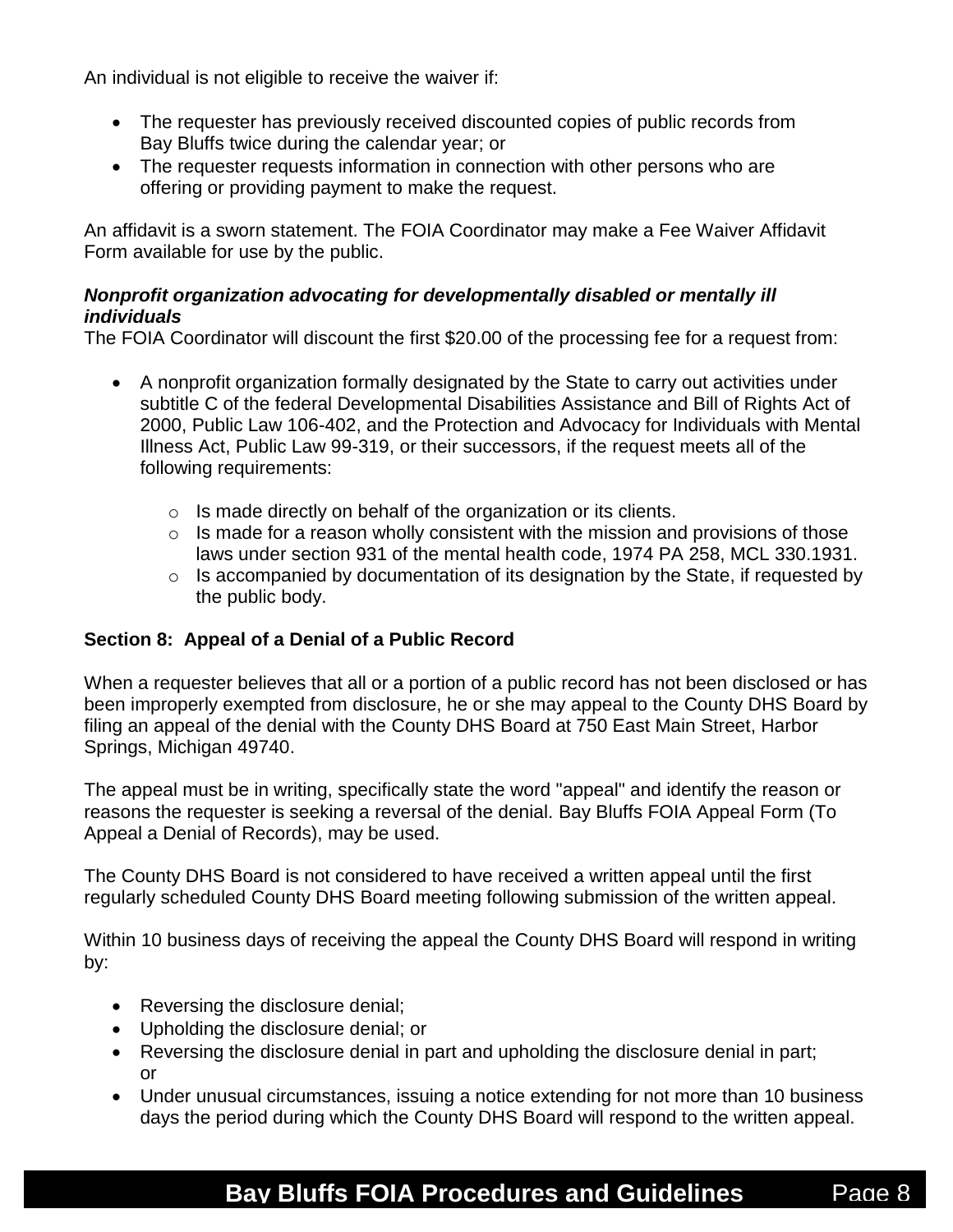An individual is not eligible to receive the waiver if:

- The requester has previously received discounted copies of public records from Bay Bluffs twice during the calendar year; or
- The requester requests information in connection with other persons who are offering or providing payment to make the request.

An affidavit is a sworn statement. The FOIA Coordinator may make a Fee Waiver Affidavit Form available for use by the public.

## *Nonprofit organization advocating for developmentally disabled or mentally ill individuals*

The FOIA Coordinator will discount the first \$20.00 of the processing fee for a request from:

- A nonprofit organization formally designated by the State to carry out activities under subtitle C of the federal Developmental Disabilities Assistance and Bill of Rights Act of 2000, Public Law 106-402, and the Protection and Advocacy for Individuals with Mental Illness Act, Public Law 99-319, or their successors, if the request meets all of the following requirements:
	- $\circ$  Is made directly on behalf of the organization or its clients.
	- $\circ$  Is made for a reason wholly consistent with the mission and provisions of those laws under section 931 of the mental health code, 1974 PA 258, MCL 330.1931.
	- $\circ$  Is accompanied by documentation of its designation by the State, if requested by the public body.

## **Section 8: Appeal of a Denial of a Public Record**

When a requester believes that all or a portion of a public record has not been disclosed or has been improperly exempted from disclosure, he or she may appeal to the County DHS Board by filing an appeal of the denial with the County DHS Board at 750 East Main Street, Harbor Springs, Michigan 49740.

The appeal must be in writing, specifically state the word "appeal" and identify the reason or reasons the requester is seeking a reversal of the denial. Bay Bluffs FOIA Appeal Form (To Appeal a Denial of Records), may be used.

The County DHS Board is not considered to have received a written appeal until the first regularly scheduled County DHS Board meeting following submission of the written appeal.

Within 10 business days of receiving the appeal the County DHS Board will respond in writing by:

- Reversing the disclosure denial;
- Upholding the disclosure denial; or
- Reversing the disclosure denial in part and upholding the disclosure denial in part; or
- Under unusual circumstances, issuing a notice extending for not more than 10 business days the period during which the County DHS Board will respond to the written appeal.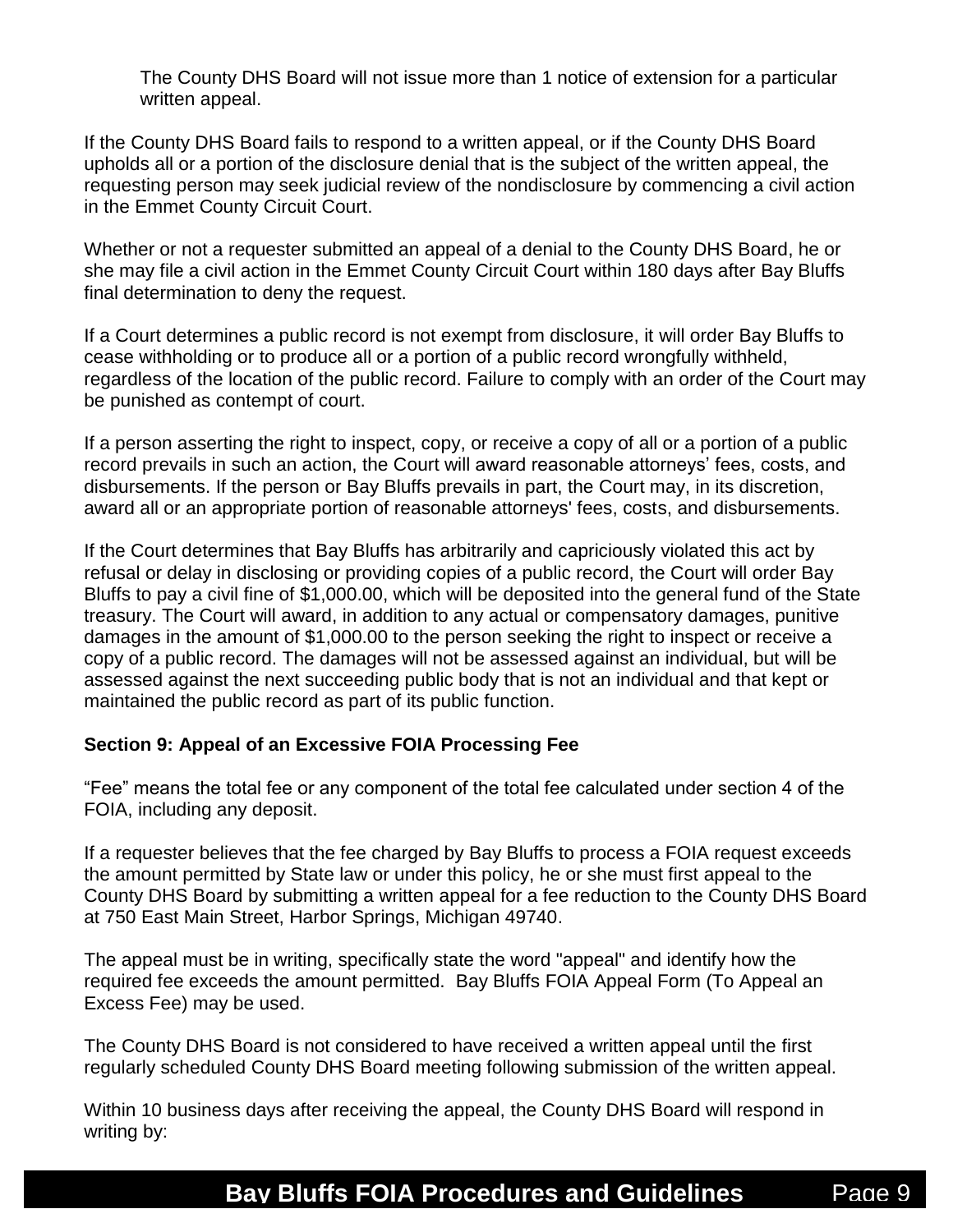The County DHS Board will not issue more than 1 notice of extension for a particular written appeal.

If the County DHS Board fails to respond to a written appeal, or if the County DHS Board upholds all or a portion of the disclosure denial that is the subject of the written appeal, the requesting person may seek judicial review of the nondisclosure by commencing a civil action in the Emmet County Circuit Court.

Whether or not a requester submitted an appeal of a denial to the County DHS Board, he or she may file a civil action in the Emmet County Circuit Court within 180 days after Bay Bluffs final determination to deny the request.

If a Court determines a public record is not exempt from disclosure, it will order Bay Bluffs to cease withholding or to produce all or a portion of a public record wrongfully withheld, regardless of the location of the public record. Failure to comply with an order of the Court may be punished as contempt of court.

If a person asserting the right to inspect, copy, or receive a copy of all or a portion of a public record prevails in such an action, the Court will award reasonable attorneys' fees, costs, and disbursements. If the person or Bay Bluffs prevails in part, the Court may, in its discretion, award all or an appropriate portion of reasonable attorneys' fees, costs, and disbursements.

If the Court determines that Bay Bluffs has arbitrarily and capriciously violated this act by refusal or delay in disclosing or providing copies of a public record, the Court will order Bay Bluffs to pay a civil fine of \$1,000.00, which will be deposited into the general fund of the State treasury. The Court will award, in addition to any actual or compensatory damages, punitive damages in the amount of \$1,000.00 to the person seeking the right to inspect or receive a copy of a public record. The damages will not be assessed against an individual, but will be assessed against the next succeeding public body that is not an individual and that kept or maintained the public record as part of its public function.

## **Section 9: Appeal of an Excessive FOIA Processing Fee**

"Fee" means the total fee or any component of the total fee calculated under section 4 of the FOIA, including any deposit.

If a requester believes that the fee charged by Bay Bluffs to process a FOIA request exceeds the amount permitted by State law or under this policy, he or she must first appeal to the County DHS Board by submitting a written appeal for a fee reduction to the County DHS Board at 750 East Main Street, Harbor Springs, Michigan 49740.

The appeal must be in writing, specifically state the word "appeal" and identify how the required fee exceeds the amount permitted. Bay Bluffs FOIA Appeal Form (To Appeal an Excess Fee) may be used.

The County DHS Board is not considered to have received a written appeal until the first regularly scheduled County DHS Board meeting following submission of the written appeal.

Within 10 business days after receiving the appeal, the County DHS Board will respond in writing by: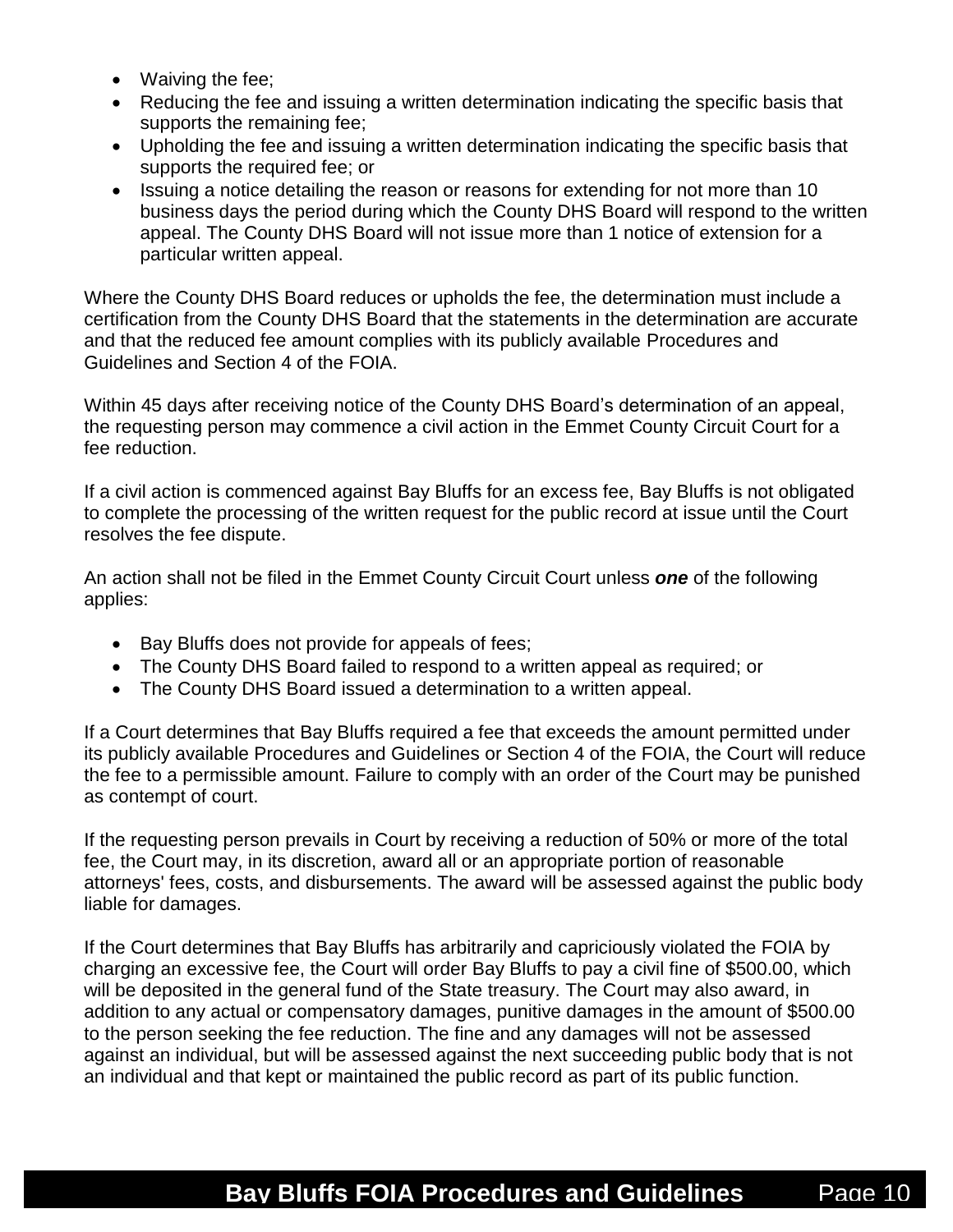- Waiving the fee;
- Reducing the fee and issuing a written determination indicating the specific basis that supports the remaining fee;
- Upholding the fee and issuing a written determination indicating the specific basis that supports the required fee; or
- Issuing a notice detailing the reason or reasons for extending for not more than 10 business days the period during which the County DHS Board will respond to the written appeal. The County DHS Board will not issue more than 1 notice of extension for a particular written appeal.

Where the County DHS Board reduces or upholds the fee, the determination must include a certification from the County DHS Board that the statements in the determination are accurate and that the reduced fee amount complies with its publicly available Procedures and Guidelines and Section 4 of the FOIA.

Within 45 days after receiving notice of the County DHS Board's determination of an appeal, the requesting person may commence a civil action in the Emmet County Circuit Court for a fee reduction.

If a civil action is commenced against Bay Bluffs for an excess fee, Bay Bluffs is not obligated to complete the processing of the written request for the public record at issue until the Court resolves the fee dispute.

An action shall not be filed in the Emmet County Circuit Court unless *one* of the following applies:

- Bay Bluffs does not provide for appeals of fees;
- The County DHS Board failed to respond to a written appeal as required; or
- The County DHS Board issued a determination to a written appeal.

If a Court determines that Bay Bluffs required a fee that exceeds the amount permitted under its publicly available Procedures and Guidelines or Section 4 of the FOIA, the Court will reduce the fee to a permissible amount. Failure to comply with an order of the Court may be punished as contempt of court.

If the requesting person prevails in Court by receiving a reduction of 50% or more of the total fee, the Court may, in its discretion, award all or an appropriate portion of reasonable attorneys' fees, costs, and disbursements. The award will be assessed against the public body liable for damages.

If the Court determines that Bay Bluffs has arbitrarily and capriciously violated the FOIA by charging an excessive fee, the Court will order Bay Bluffs to pay a civil fine of \$500.00, which will be deposited in the general fund of the State treasury. The Court may also award, in addition to any actual or compensatory damages, punitive damages in the amount of \$500.00 to the person seeking the fee reduction. The fine and any damages will not be assessed against an individual, but will be assessed against the next succeeding public body that is not an individual and that kept or maintained the public record as part of its public function.